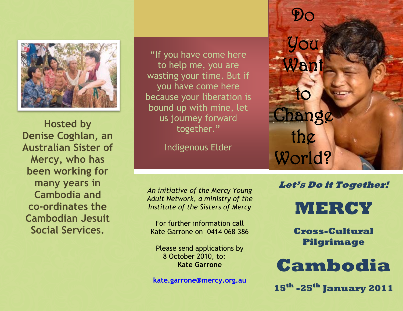

**Hosted by Denise Coghlan, an Australian Sister of Mercy, who has been working for many years in Cambodia and co-ordinates the Cambodian Jesuit Social Services.**

"If you have come here to help me, you are wasting your time. But if you have come here because your liberation is bound up with mine, let us journey forward together."

Indigenous Elder

*An initiative of the Mercy Young Adult Network, a ministry of the Institute of the Sisters of Mercy* 

For further information call Kate Garrone on 0414 068 386

Please send applications by 8 October 2010, to: **Kate Garrone**

**[kate.garrone@mercy.org.au](mailto:kate.garrone@mercy.org.au)**

Do You an to Change the World?

**Let's Do it Together!** 

**MERCY** 

**Cross-Cultural Pilgrimage**

## **Cambodia**

**15th -25th January 2011**